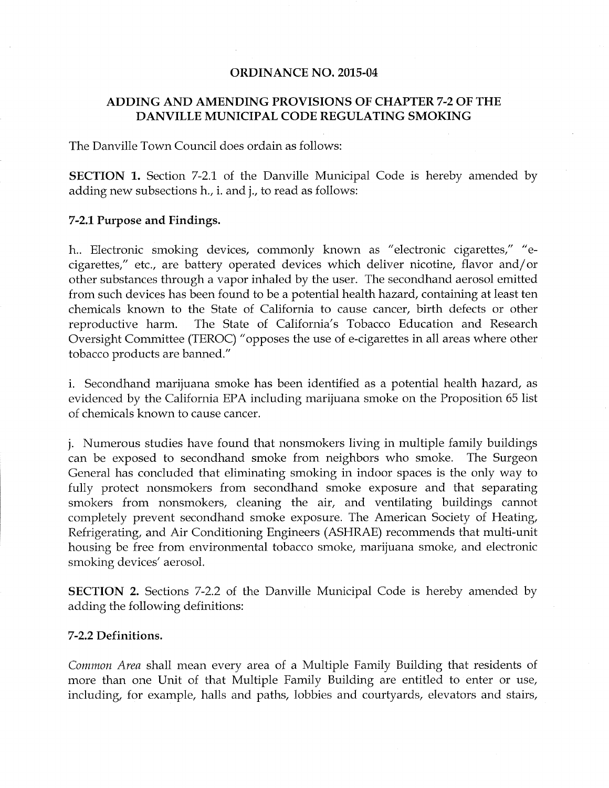#### **ORDINANCE NO. 2015-04**

# ADDING AND AMENDING PROVISIONS OF CHAPTER 7-2 OF THE DANVILLE MUNICIPAL CODE REGULATING SMOKING

The Danville Town Council does ordain as follows:

SECTION 1. Section 7-2.1 of the Danville Municipal Code is hereby amended by adding new subsections h., i. and j., to read as follows:

### 7-2.1 Purpose and Findings.

h.. Electronic smoking devices, commonly known as "electronic cigarettes," "ecigarettes," etc., are battery operated devices which deliver nicotine, flavor and/ or other substances through <sup>a</sup> vapor inhaled by the user. The secondhand aerosol emitted from such devices has been found to be a potential health hazard, containing at least ten chemicals known to the State of California to cause cancer, birth defects or other reproductive harm. The State of California's Tobacco Education and Research Oversight Committee (TEROC) " opposes the use of e -cigarettes in all areas where other tobacco products are banned."

i. Secondhand marijuana smoke has been identified as a potential health hazard, as evidenced by the California EPA including marijuana smoke on the Proposition 65 list of chemicals known to cause cancer.

j. Numerous studies have found that nonsmokers living in multiple family buildings can be exposed to secondhand smoke from neighbors who smoke. The Surgeon General has concluded that eliminating smoking in indoor spaces is the only way to fully protect nonsmokers from secondhand smoke exposure and that separating smokers from nonsmokers, cleaning the air, and ventilating buildings cannot completely prevent secondhand smoke exposure. The American Society of Heating, Refrigerating, and Air Conditioning Engineers (ASHRAE) recommends that multi-unit housing be free from environmental tobacco smoke, marijuana smoke, and electronic smoking devices' aerosol.

SECTION 2. Sections 7-2.2 of the Danville Municipal Code is hereby amended by adding the following definitions:

### 7-2.2 Definitions.

Common Area shall mean every area of a Multiple Family Building that residents of more than one Unit of that Multiple Family Building are entitled to enter or use, including, for example, halls and paths, lobbies and courtyards, elevators and stairs,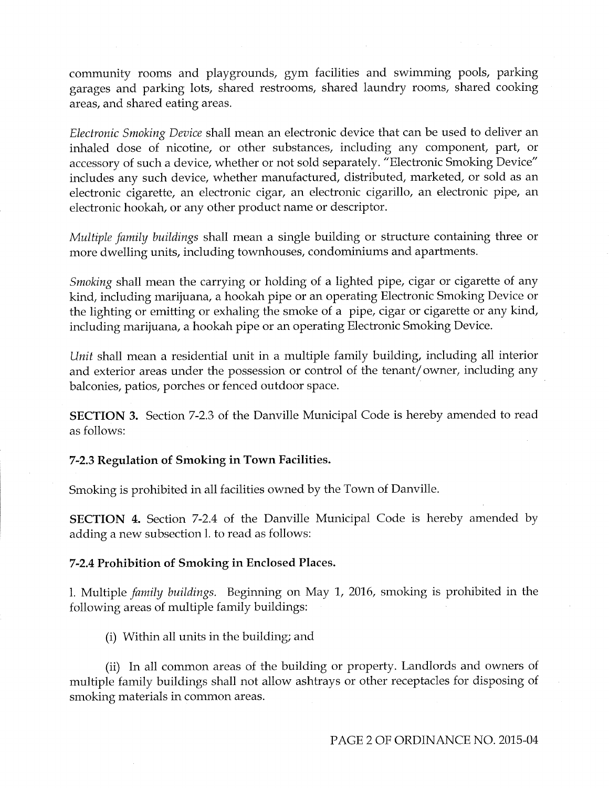community rooms and playgrounds, gym facilities and swimming pools, parking garages and parking lots, shared restrooms, shared laundry rooms, shared cooking areas, and shared eating areas.

Electronic Smoking Device shall mean an electronic device that can be used to deliver an inhaled dose of nicotine, or other substances, including any component, part, or accessory of such <sup>a</sup> device, whether or not sold separately. "Electronic Smoking Device" includes any such device, whether manufactured, distributed, marketed, or sold as an electronic cigarette, an electronic cigar, an electronic cigarillo, an electronic pipe, an electronic hookah, or any other product name or descriptor.

Multiple family buildings shall mean a single building or structure containing three or more dwelling units, including townhouses, condominiums and apartments.

Smoking shall mean the carrying or holding of a lighted pipe, cigar or cigarette of any kind, including marijuana, a hookah pipe or an operating Electronic Smoking Device or the lighting or emitting or exhaling the smoke of a pipe, cigar or cigarette or any kind, including marijuana, a hookah pipe or an operating Electronic Smoking Device.

Unit shall mean a residential unit in a multiple family building, including all interior and exterior areas under the possession or control of the tenant/ owner, including any balconies, patios, porches or fenced outdoor space.

SECTION 3. Section 7-2.3 of the Danville Municipal Code is hereby amended to read as follows:

7-2.3 Regulation of Smoking in Town Facilities.

Smoking is prohibited in all facilities owned by the Town of Danville.

SECTION 4. Section 7-2.4 of the Danville Municipal Code is hereby amended by adding a new subsection 1. to read as follows:

# 7-2.4 Prohibition of Smoking in Enclosed Places.

1. Multiple family buildings. Beginning on May 1, 2016, smoking is prohibited in the following areas of multiple family buildings:

i) Within all units in the building; and

ii) In all common areas of the building or property. Landlords and owners of multiple family buildings shall not allow ashtrays or other receptacles for disposing of smoking materials in common areas.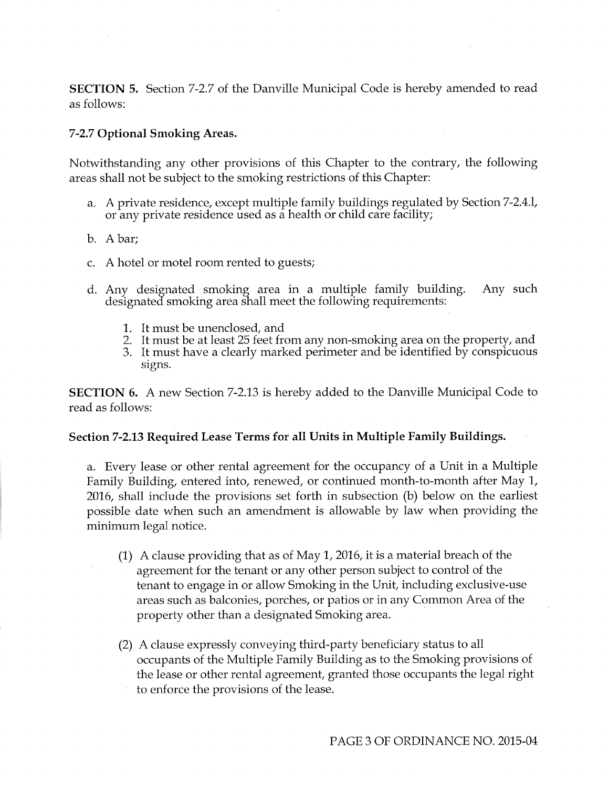SECTION 5. Section 7-2.7 of the Danville Municipal Code is hereby amended to read as follows:

## 7-2.7 Optional Smoking Areas.

Notwithstanding any other provisions of this Chapter to the contrary, the following areas shall not be subject to the smoking restrictions of this Chapter:

- a. A private residence, except multiple family buildings regulated by Section 7-2.4.1, or any private residence used as a health or child care facility;
- b. A bar;
- c. A hotel or motel room rented to guests;
- d. Any designated smoking area in <sup>a</sup> multiple family building. Any such designated smoking area shall meet the following requirements:
	- 1. It must be unenclosed, and
	- 2. It must be at least 25 feet from any non-smoking area on the property, and
	- 3. It must have a clearly marked perimeter and be identified by conspicuous signs.

SECTION 6. A new Section 7-2.13 is hereby added to the Danville Municipal Code to read as follows:

#### Section 7-2.13 Required Lease Terms for all Units in Multiple Family Buildings.

a. Every lease or other rental agreement for the occupancy of a Unit in a Multiple Family Building, entered into, renewed, or continued month-to-month after May 1, 2016, shall include the provisions set forth in subsection (b) below on the earliest possible date when such an amendment is allowable by law when providing the minimum legal notice.

- (1) A clause providing that as of May 1, 2016, it is a material breach of the agreement for the tenant or any other person subject to control of the tenant to engage in or allow Smoking in the Unit, including exclusive -use areas such as balconies, porches, or patios or in any Common Area of the property other than a designated Smoking area.
- 2) A clause expressly conveying third -party beneficiary status to all occupants of the Multiple Family Building as to the Smoking provisions of the lease or other rental agreement, granted those occupants the legal right to enforce the provisions of the lease.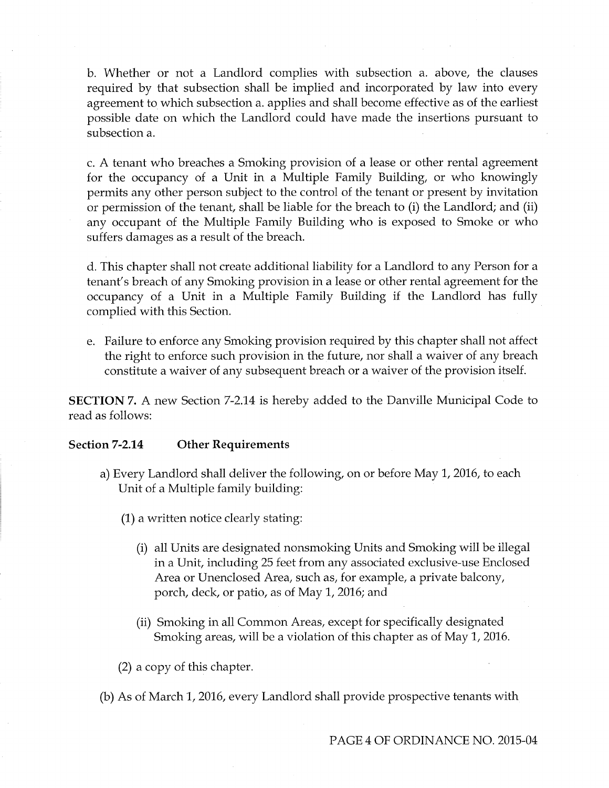b. Whether or not a Landlord complies with subsection a. above, the clauses required by that subsection shall be implied and incorporated by law into every agreement to which subsection a. applies and shall become effective as of the earliest possible date on which the Landlord could have made the insertions pursuant to subsection a.

c. A tenant who breaches a Smoking provision of a lease or other rental agreement for the occupancy of a Unit in a Multiple Family Building, or who knowingly permits any other person subject to the control of the tenant or present by invitation or permission of the tenant, shall be liable for the breach to (i) the Landlord; and (ii) any occupant of the Multiple Family Building who is exposed to Smoke or who suffers damages as a result of the breach.

d. This chapter shall not create additional liability for a Landlord to any Person for a tenant's breach of any Smoking provision in a lease or other rental agreement for the occupancy of <sup>a</sup> Unit in a Multiple Family Building if the Landlord has fully complied with this Section.

e. Failure to enforce any Smoking provision required by this chapter shall not affect the right to enforce such provision in the future, nor shall a waiver of any breach constitute a waiver of any subsequent breach or a waiver of the provision itself.

SECTION 7. A new Section 7-2.14 is hereby added to the Danville Municipal Code to read as follows:

# Section 7-2.14 Other Requirements

- a) Every Landlord shall deliver the following, on or before May 1, 2016, to each Unit of a Multiple family building:
	- 1) a written notice clearly stating:
		- i) all Units are designated nonsmoking Units and Smoking will be illegal in a Unit, including 25 feet from any associated exclusive -use Enclosed Area or Unenclosed Area, such as, for example, a private balcony, porch, deck, or patio, as of May 1, 2016; and
		- ii) Smoking in all Common Areas, except for specifically designated Smoking areas, will be <sup>a</sup> violation of this chapter as of May 1, 2016.

2) a copy of this chapter.

b) As of March 1, 2016, every Landlord shall provide prospective tenants with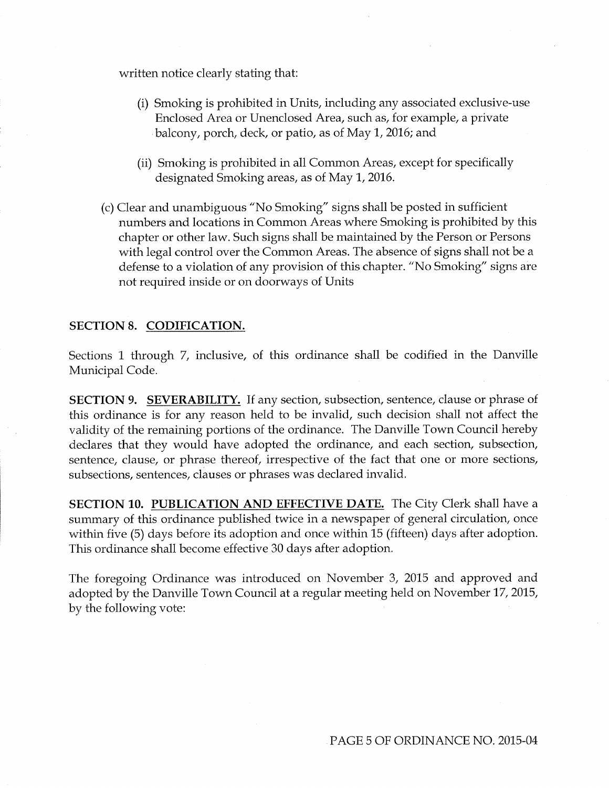written notice clearly stating that:

- i) Smoking is prohibited in Units, including any associated exclusive -use Enclosed Area or Unenclosed Area, such as, for example, a private balcony, porch, deck, or patio, as of May 1, 2016; and
- ii) Smoking is prohibited in all Common Areas, except for specifically designated Smoking areas, as of May 1, 2016.
- c) Clear and unambiguous " No Smoking' signs shall be posted in sufficient numbers and locations in Common Areas where Smoking is prohibited by this chapter or other law. Such signs shall be maintained by the Person or Persons with legal control over the Common Areas. The absence of signs shall not be <sup>a</sup> defense to <sup>a</sup> violation of any provision of this chapter. "No Smoking' signs are not required inside or on doorways of Units

#### SECTION 8. CODIFICATION.

Sections <sup>1</sup> through 7, inclusive, of this ordinance shall be codified in the Danville Municipal Code.

SECTION 9. SEVERABILITY. If any section, subsection, sentence, clause or phrase of this ordinance is for any reason held to be invalid, such decision shall not affect the validity of the remaining portions of the ordinance. The Danville Town Council hereby declares that they would have adopted the ordinance, and each section, subsection, sentence, clause, or phrase thereof, irrespective of the fact that one or more sections, subsections, sentences, clauses or phrases was declared invalid.

SECTION 10. PUBLICATION AND EFFECTIVE DATE. The City Clerk shall have a summary of this ordinance published twice in a newspaper of general circulation, once within five (5) days before its adoption and once within 15 (fifteen) days after adoption. This ordinance shall become effective 30 days after adoption.

The foregoing Ordinance was introduced on November 3, 2015 and approved and adopted by the Danville Town Council at a regular meeting held on November 17, 2015, by the following vote: